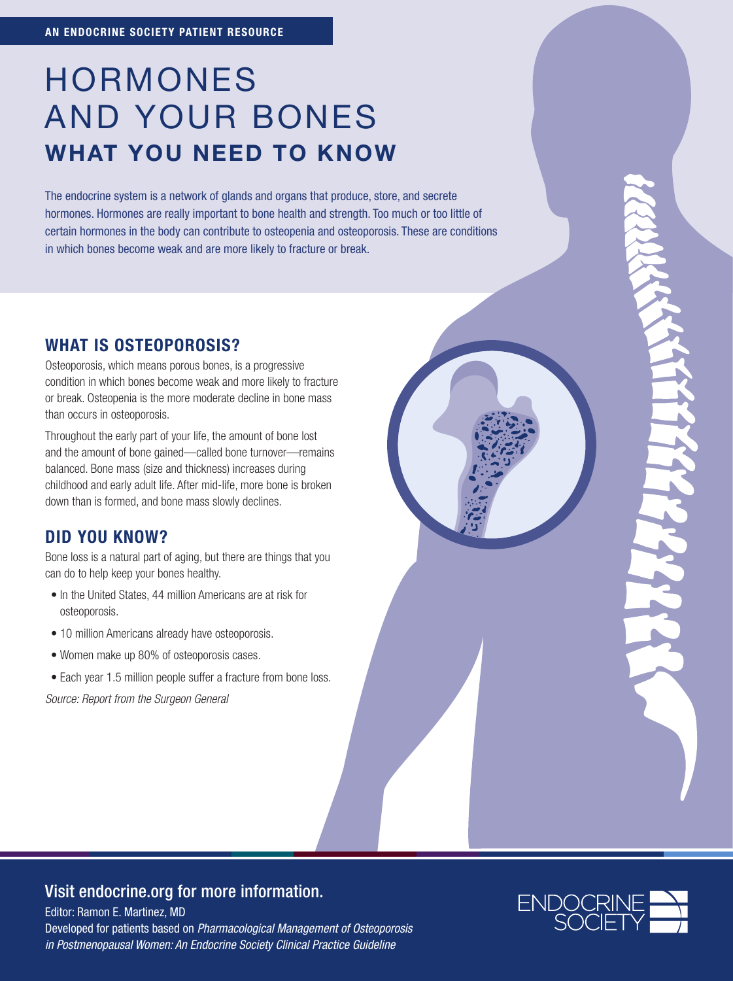# HORMONES AND YOUR BONES WHAT YOU NEED TO KNOW

The endocrine system is a network of glands and organs that produce, store, and secrete hormones. Hormones are really important to bone health and strength. Too much or too little of certain hormones in the body can contribute to osteopenia and osteoporosis. These are conditions in which bones become weak and are more likely to fracture or break.

## WHAT IS OSTEOPOROSIS?

Osteoporosis, which means porous bones, is a progressive condition in which bones become weak and more likely to fracture or break. Osteopenia is the more moderate decline in bone mass than occurs in osteoporosis.

Throughout the early part of your life, the amount of bone lost and the amount of bone gained—called bone turnover—remains balanced. Bone mass (size and thickness) increases during childhood and early adult life. After mid-life, more bone is broken down than is formed, and bone mass slowly declines.

## DID YOU KNOW?

Bone loss is a natural part of aging, but there are things that you can do to help keep your bones healthy.

- In the United States, 44 million Americans are at risk for osteoporosis.
- 10 million Americans already have osteoporosis.
- Women make up 80% of osteoporosis cases.
- Each year 1.5 million people suffer a fracture from bone loss.

*Source: Report from the Surgeon General*

### Visit endocrine.org for more information.

Editor: Ramon E. Martinez, MD

Developed for patients based on *[Pharmacological Management of Osteoporosis](https://www.endocrine.org/clinical-practice-guidelines/osteoporosis-in-postmenopausal-women)  [in Postmenopausal Women: An Endocrine Society Clinical Practice Guideline](https://www.endocrine.org/clinical-practice-guidelines/osteoporosis-in-postmenopausal-women)*